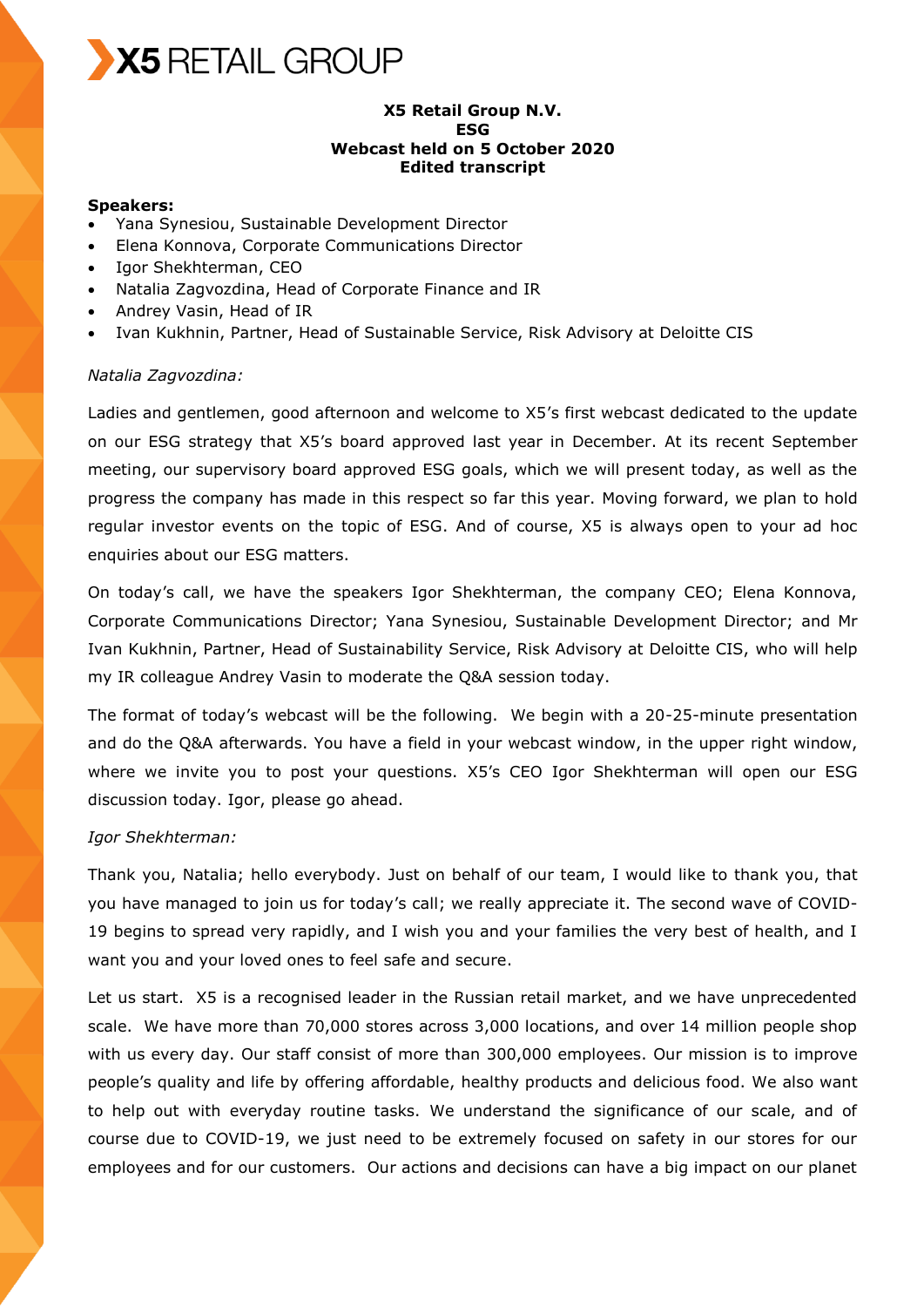

## **X5 Retail Group N.V. ESG Webcast held on 5 October 2020 Edited transcript**

#### **Speakers:**

- Yana Synesiou, Sustainable Development Director
- Elena Konnova, Corporate Communications Director
- Igor Shekhterman, CEO
- Natalia Zagvozdina, Head of Corporate Finance and IR
- Andrey Vasin, Head of IR
- Ivan Kukhnin, Partner, Head of Sustainable Service, Risk Advisory at Deloitte CIS

#### *Natalia Zagvozdina:*

Ladies and gentlemen, good afternoon and welcome to X5's first webcast dedicated to the update on our ESG strategy that X5's board approved last year in December. At its recent September meeting, our supervisory board approved ESG goals, which we will present today, as well as the progress the company has made in this respect so far this year. Moving forward, we plan to hold regular investor events on the topic of ESG. And of course, X5 is always open to your ad hoc enquiries about our ESG matters.

On today's call, we have the speakers Igor Shekhterman, the company CEO; Elena Konnova, Corporate Communications Director; Yana Synesiou, Sustainable Development Director; and Mr Ivan Kukhnin, Partner, Head of Sustainability Service, Risk Advisory at Deloitte CIS, who will help my IR colleague Andrey Vasin to moderate the Q&A session today.

The format of today's webcast will be the following. We begin with a 20-25-minute presentation and do the Q&A afterwards. You have a field in your webcast window, in the upper right window, where we invite you to post your questions. X5's CEO Igor Shekhterman will open our ESG discussion today. Igor, please go ahead.

#### *Igor Shekhterman:*

Thank you, Natalia; hello everybody. Just on behalf of our team, I would like to thank you, that you have managed to join us for today's call; we really appreciate it. The second wave of COVID-19 begins to spread very rapidly, and I wish you and your families the very best of health, and I want you and your loved ones to feel safe and secure.

Let us start. X5 is a recognised leader in the Russian retail market, and we have unprecedented scale. We have more than 70,000 stores across 3,000 locations, and over 14 million people shop with us every day. Our staff consist of more than 300,000 employees. Our mission is to improve people's quality and life by offering affordable, healthy products and delicious food. We also want to help out with everyday routine tasks. We understand the significance of our scale, and of course due to COVID-19, we just need to be extremely focused on safety in our stores for our employees and for our customers. Our actions and decisions can have a big impact on our planet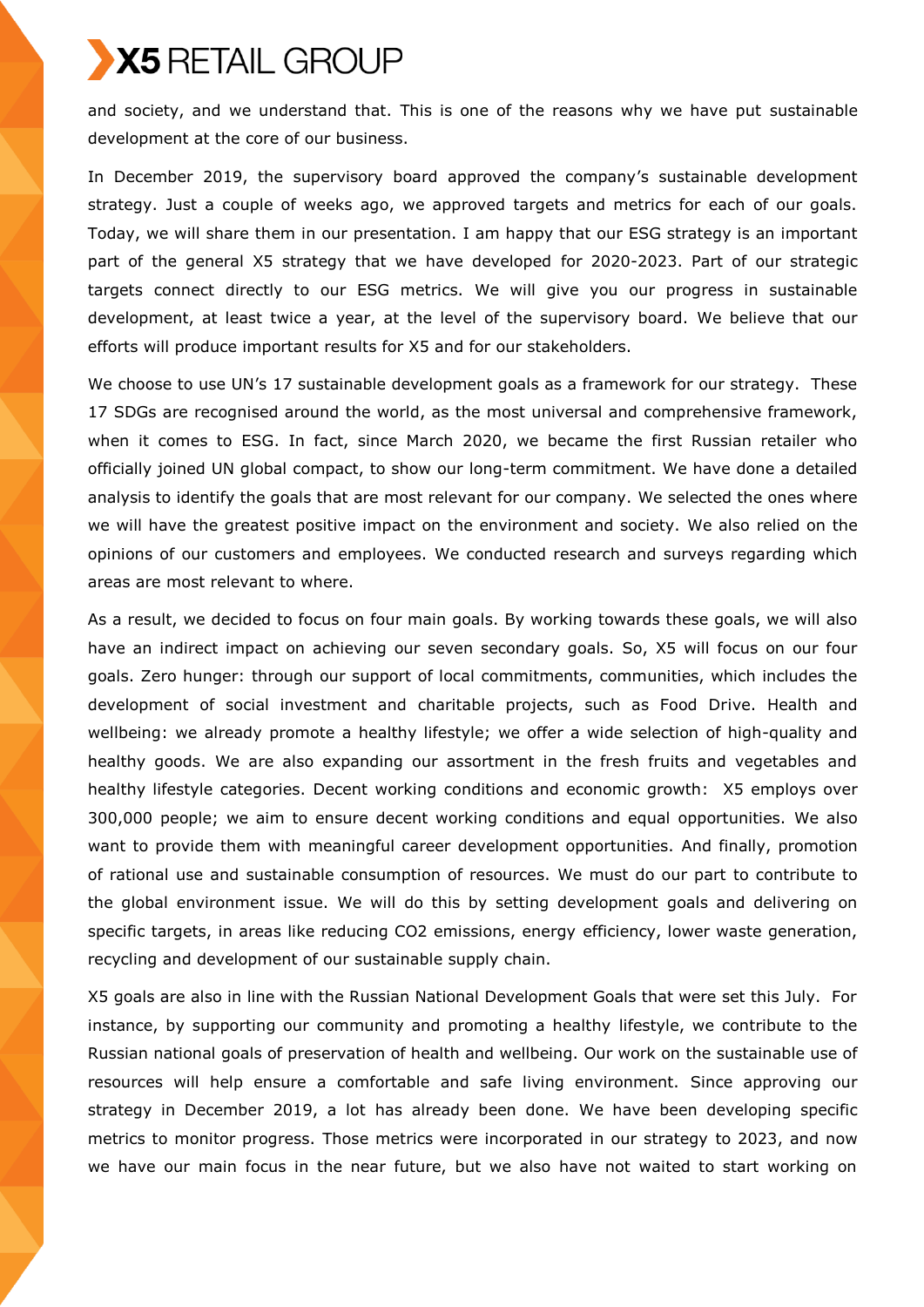and society, and we understand that. This is one of the reasons why we have put sustainable development at the core of our business.

In December 2019, the supervisory board approved the company's sustainable development strategy. Just a couple of weeks ago, we approved targets and metrics for each of our goals. Today, we will share them in our presentation. I am happy that our ESG strategy is an important part of the general X5 strategy that we have developed for 2020-2023. Part of our strategic targets connect directly to our ESG metrics. We will give you our progress in sustainable development, at least twice a year, at the level of the supervisory board. We believe that our efforts will produce important results for X5 and for our stakeholders.

We choose to use UN's 17 sustainable development goals as a framework for our strategy. These 17 SDGs are recognised around the world, as the most universal and comprehensive framework, when it comes to ESG. In fact, since March 2020, we became the first Russian retailer who officially joined UN global compact, to show our long-term commitment. We have done a detailed analysis to identify the goals that are most relevant for our company. We selected the ones where we will have the greatest positive impact on the environment and society. We also relied on the opinions of our customers and employees. We conducted research and surveys regarding which areas are most relevant to where.

As a result, we decided to focus on four main goals. By working towards these goals, we will also have an indirect impact on achieving our seven secondary goals. So, X5 will focus on our four goals. Zero hunger: through our support of local commitments, communities, which includes the development of social investment and charitable projects, such as Food Drive. Health and wellbeing: we already promote a healthy lifestyle; we offer a wide selection of high-quality and healthy goods. We are also expanding our assortment in the fresh fruits and vegetables and healthy lifestyle categories. Decent working conditions and economic growth: X5 employs over 300,000 people; we aim to ensure decent working conditions and equal opportunities. We also want to provide them with meaningful career development opportunities. And finally, promotion of rational use and sustainable consumption of resources. We must do our part to contribute to the global environment issue. We will do this by setting development goals and delivering on specific targets, in areas like reducing CO2 emissions, energy efficiency, lower waste generation, recycling and development of our sustainable supply chain.

X5 goals are also in line with the Russian National Development Goals that were set this July. For instance, by supporting our community and promoting a healthy lifestyle, we contribute to the Russian national goals of preservation of health and wellbeing. Our work on the sustainable use of resources will help ensure a comfortable and safe living environment. Since approving our strategy in December 2019, a lot has already been done. We have been developing specific metrics to monitor progress. Those metrics were incorporated in our strategy to 2023, and now we have our main focus in the near future, but we also have not waited to start working on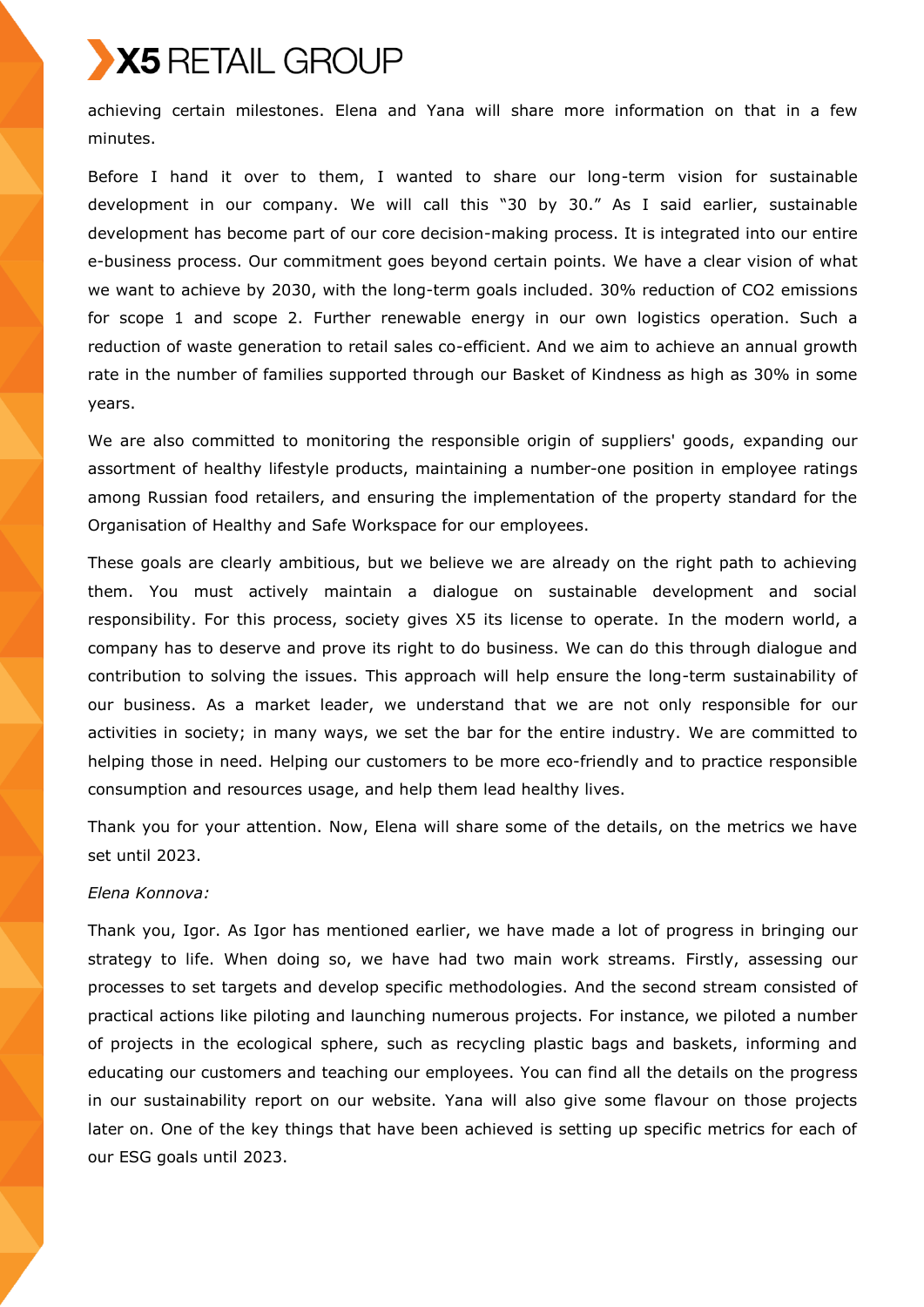achieving certain milestones. Elena and Yana will share more information on that in a few minutes.

Before I hand it over to them, I wanted to share our long-term vision for sustainable development in our company. We will call this "30 by 30." As I said earlier, sustainable development has become part of our core decision-making process. It is integrated into our entire e-business process. Our commitment goes beyond certain points. We have a clear vision of what we want to achieve by 2030, with the long-term goals included. 30% reduction of CO2 emissions for scope 1 and scope 2. Further renewable energy in our own logistics operation. Such a reduction of waste generation to retail sales co-efficient. And we aim to achieve an annual growth rate in the number of families supported through our Basket of Kindness as high as 30% in some years.

We are also committed to monitoring the responsible origin of suppliers' goods, expanding our assortment of healthy lifestyle products, maintaining a number-one position in employee ratings among Russian food retailers, and ensuring the implementation of the property standard for the Organisation of Healthy and Safe Workspace for our employees.

These goals are clearly ambitious, but we believe we are already on the right path to achieving them. You must actively maintain a dialogue on sustainable development and social responsibility. For this process, society gives X5 its license to operate. In the modern world, a company has to deserve and prove its right to do business. We can do this through dialogue and contribution to solving the issues. This approach will help ensure the long-term sustainability of our business. As a market leader, we understand that we are not only responsible for our activities in society; in many ways, we set the bar for the entire industry. We are committed to helping those in need. Helping our customers to be more eco-friendly and to practice responsible consumption and resources usage, and help them lead healthy lives.

Thank you for your attention. Now, Elena will share some of the details, on the metrics we have set until 2023.

## *Elena Konnova:*

Thank you, Igor. As Igor has mentioned earlier, we have made a lot of progress in bringing our strategy to life. When doing so, we have had two main work streams. Firstly, assessing our processes to set targets and develop specific methodologies. And the second stream consisted of practical actions like piloting and launching numerous projects. For instance, we piloted a number of projects in the ecological sphere, such as recycling plastic bags and baskets, informing and educating our customers and teaching our employees. You can find all the details on the progress in our sustainability report on our website. Yana will also give some flavour on those projects later on. One of the key things that have been achieved is setting up specific metrics for each of our ESG goals until 2023.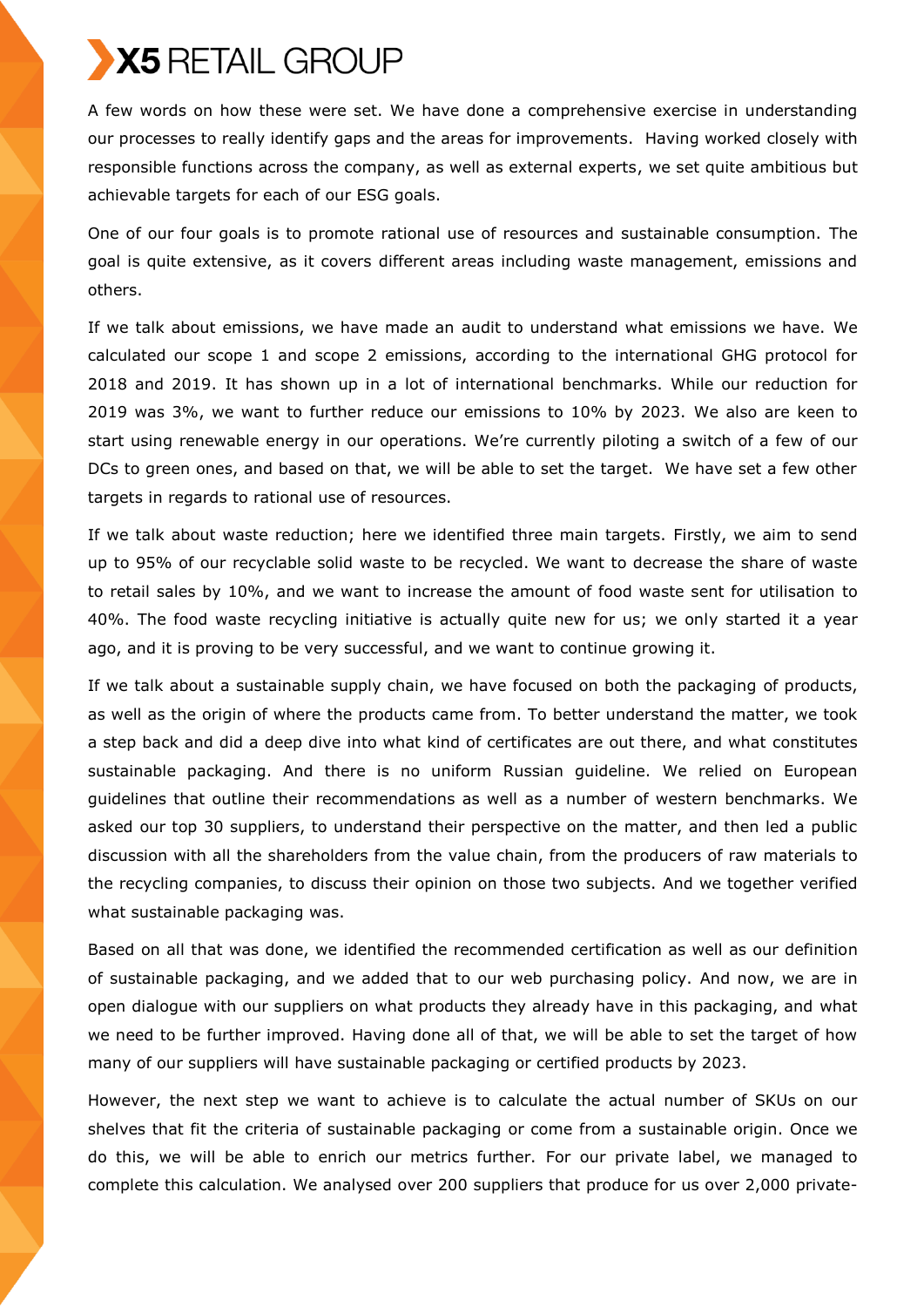A few words on how these were set. We have done a comprehensive exercise in understanding our processes to really identify gaps and the areas for improvements. Having worked closely with responsible functions across the company, as well as external experts, we set quite ambitious but achievable targets for each of our ESG goals.

One of our four goals is to promote rational use of resources and sustainable consumption. The goal is quite extensive, as it covers different areas including waste management, emissions and others.

If we talk about emissions, we have made an audit to understand what emissions we have. We calculated our scope 1 and scope 2 emissions, according to the international GHG protocol for 2018 and 2019. It has shown up in a lot of international benchmarks. While our reduction for 2019 was 3%, we want to further reduce our emissions to 10% by 2023. We also are keen to start using renewable energy in our operations. We're currently piloting a switch of a few of our DCs to green ones, and based on that, we will be able to set the target. We have set a few other targets in regards to rational use of resources.

If we talk about waste reduction; here we identified three main targets. Firstly, we aim to send up to 95% of our recyclable solid waste to be recycled. We want to decrease the share of waste to retail sales by 10%, and we want to increase the amount of food waste sent for utilisation to 40%. The food waste recycling initiative is actually quite new for us; we only started it a year ago, and it is proving to be very successful, and we want to continue growing it.

If we talk about a sustainable supply chain, we have focused on both the packaging of products, as well as the origin of where the products came from. To better understand the matter, we took a step back and did a deep dive into what kind of certificates are out there, and what constitutes sustainable packaging. And there is no uniform Russian guideline. We relied on European guidelines that outline their recommendations as well as a number of western benchmarks. We asked our top 30 suppliers, to understand their perspective on the matter, and then led a public discussion with all the shareholders from the value chain, from the producers of raw materials to the recycling companies, to discuss their opinion on those two subjects. And we together verified what sustainable packaging was.

Based on all that was done, we identified the recommended certification as well as our definition of sustainable packaging, and we added that to our web purchasing policy. And now, we are in open dialogue with our suppliers on what products they already have in this packaging, and what we need to be further improved. Having done all of that, we will be able to set the target of how many of our suppliers will have sustainable packaging or certified products by 2023.

However, the next step we want to achieve is to calculate the actual number of SKUs on our shelves that fit the criteria of sustainable packaging or come from a sustainable origin. Once we do this, we will be able to enrich our metrics further. For our private label, we managed to complete this calculation. We analysed over 200 suppliers that produce for us over 2,000 private-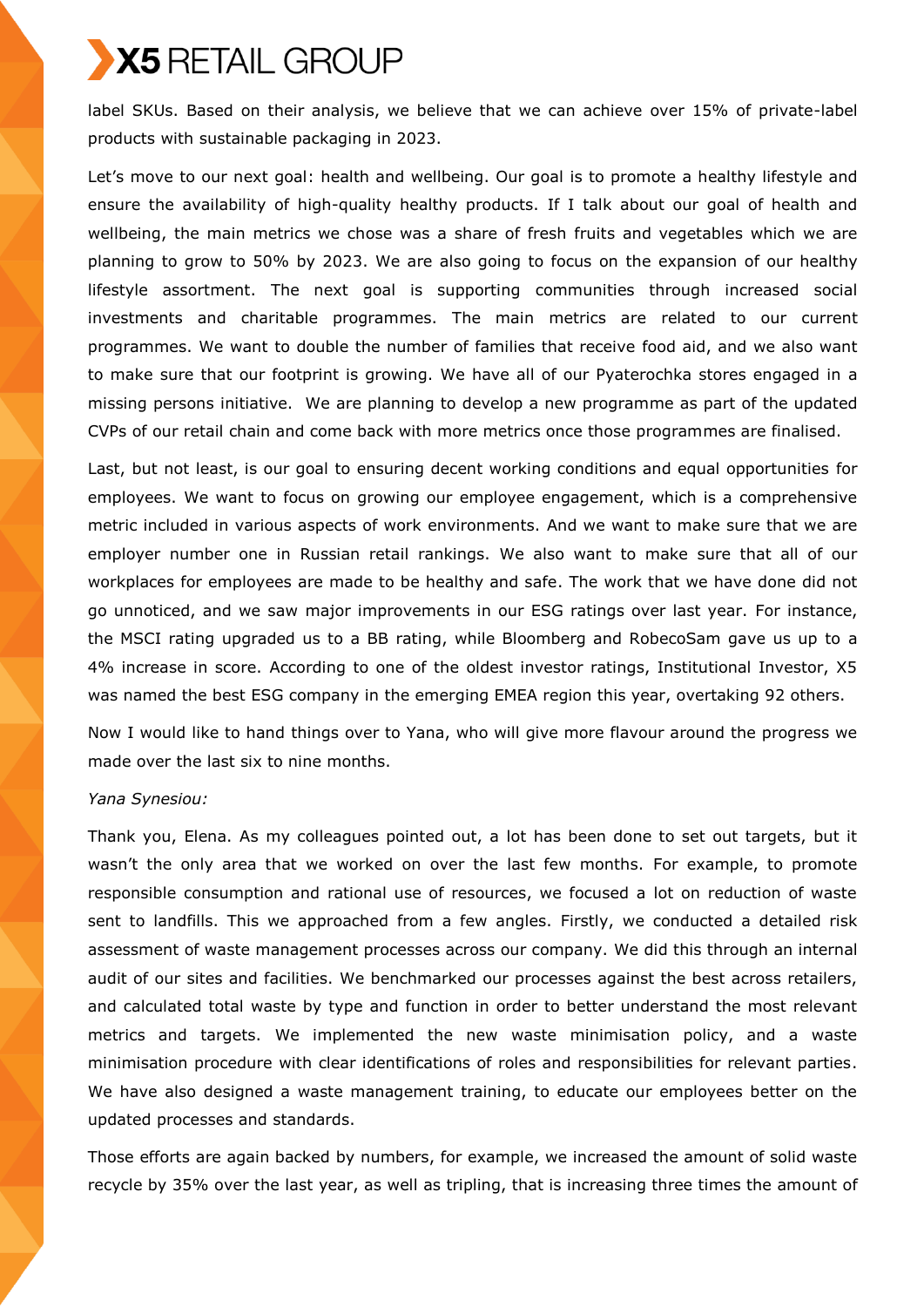label SKUs. Based on their analysis, we believe that we can achieve over 15% of private-label products with sustainable packaging in 2023.

Let's move to our next goal: health and wellbeing. Our goal is to promote a healthy lifestyle and ensure the availability of high-quality healthy products. If I talk about our goal of health and wellbeing, the main metrics we chose was a share of fresh fruits and vegetables which we are planning to grow to 50% by 2023. We are also going to focus on the expansion of our healthy lifestyle assortment. The next goal is supporting communities through increased social investments and charitable programmes. The main metrics are related to our current programmes. We want to double the number of families that receive food aid, and we also want to make sure that our footprint is growing. We have all of our Pyaterochka stores engaged in a missing persons initiative. We are planning to develop a new programme as part of the updated CVPs of our retail chain and come back with more metrics once those programmes are finalised.

Last, but not least, is our goal to ensuring decent working conditions and equal opportunities for employees. We want to focus on growing our employee engagement, which is a comprehensive metric included in various aspects of work environments. And we want to make sure that we are employer number one in Russian retail rankings. We also want to make sure that all of our workplaces for employees are made to be healthy and safe. The work that we have done did not go unnoticed, and we saw major improvements in our ESG ratings over last year. For instance, the MSCI rating upgraded us to a BB rating, while Bloomberg and RobecoSam gave us up to a 4% increase in score. According to one of the oldest investor ratings, Institutional Investor, X5 was named the best ESG company in the emerging EMEA region this year, overtaking 92 others.

Now I would like to hand things over to Yana, who will give more flavour around the progress we made over the last six to nine months.

## *Yana Synesiou:*

Thank you, Elena. As my colleagues pointed out, a lot has been done to set out targets, but it wasn't the only area that we worked on over the last few months. For example, to promote responsible consumption and rational use of resources, we focused a lot on reduction of waste sent to landfills. This we approached from a few angles. Firstly, we conducted a detailed risk assessment of waste management processes across our company. We did this through an internal audit of our sites and facilities. We benchmarked our processes against the best across retailers, and calculated total waste by type and function in order to better understand the most relevant metrics and targets. We implemented the new waste minimisation policy, and a waste minimisation procedure with clear identifications of roles and responsibilities for relevant parties. We have also designed a waste management training, to educate our employees better on the updated processes and standards.

Those efforts are again backed by numbers, for example, we increased the amount of solid waste recycle by 35% over the last year, as well as tripling, that is increasing three times the amount of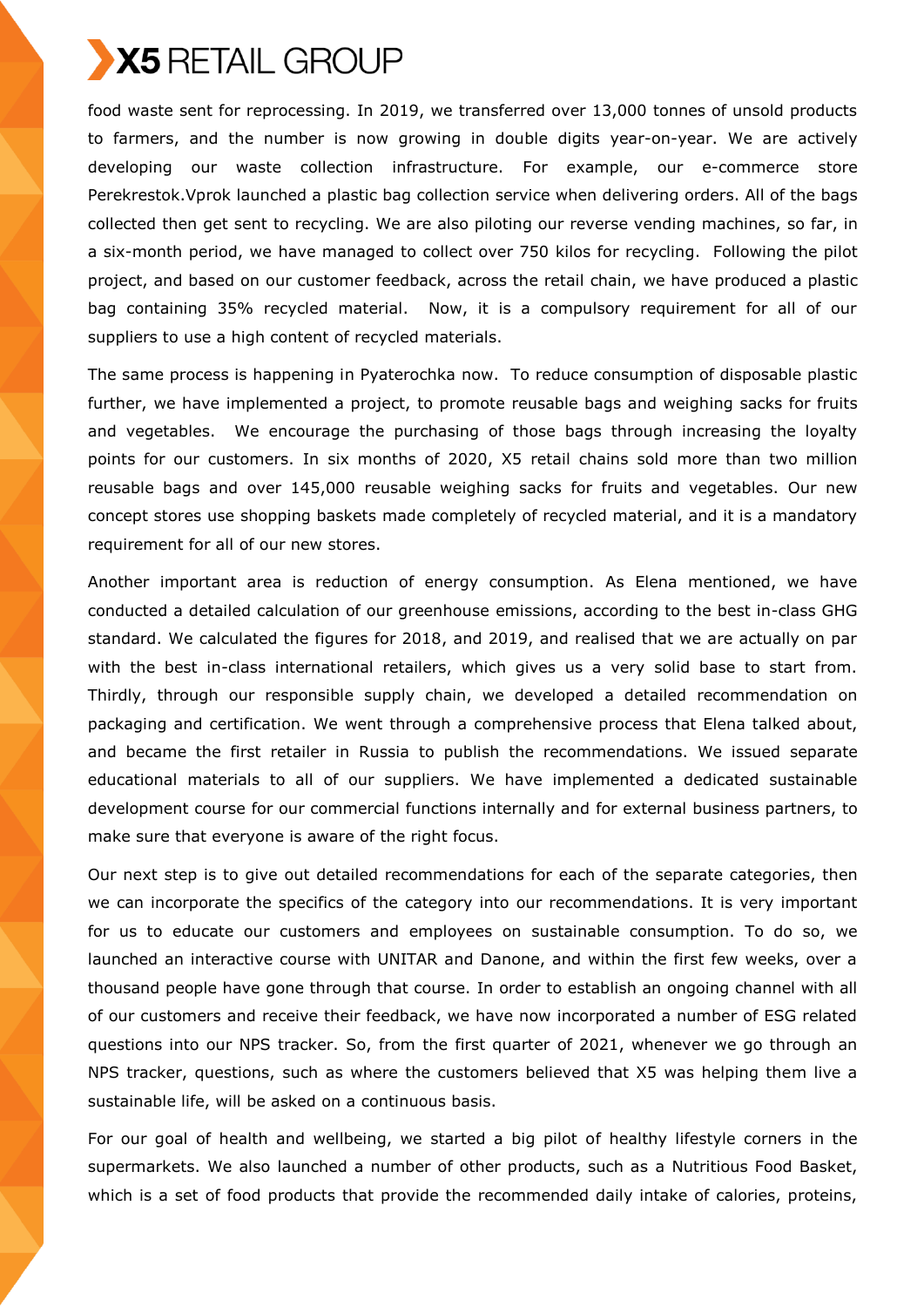

food waste sent for reprocessing. In 2019, we transferred over 13,000 tonnes of unsold products to farmers, and the number is now growing in double digits year-on-year. We are actively developing our waste collection infrastructure. For example, our e-commerce store Perekrestok.Vprok launched a plastic bag collection service when delivering orders. All of the bags collected then get sent to recycling. We are also piloting our reverse vending machines, so far, in a six-month period, we have managed to collect over 750 kilos for recycling. Following the pilot project, and based on our customer feedback, across the retail chain, we have produced a plastic bag containing 35% recycled material. Now, it is a compulsory requirement for all of our suppliers to use a high content of recycled materials.

The same process is happening in Pyaterochka now. To reduce consumption of disposable plastic further, we have implemented a project, to promote reusable bags and weighing sacks for fruits and vegetables. We encourage the purchasing of those bags through increasing the loyalty points for our customers. In six months of 2020, X5 retail chains sold more than two million reusable bags and over 145,000 reusable weighing sacks for fruits and vegetables. Our new concept stores use shopping baskets made completely of recycled material, and it is a mandatory requirement for all of our new stores.

Another important area is reduction of energy consumption. As Elena mentioned, we have conducted a detailed calculation of our greenhouse emissions, according to the best in-class GHG standard. We calculated the figures for 2018, and 2019, and realised that we are actually on par with the best in-class international retailers, which gives us a very solid base to start from. Thirdly, through our responsible supply chain, we developed a detailed recommendation on packaging and certification. We went through a comprehensive process that Elena talked about, and became the first retailer in Russia to publish the recommendations. We issued separate educational materials to all of our suppliers. We have implemented a dedicated sustainable development course for our commercial functions internally and for external business partners, to make sure that everyone is aware of the right focus.

Our next step is to give out detailed recommendations for each of the separate categories, then we can incorporate the specifics of the category into our recommendations. It is very important for us to educate our customers and employees on sustainable consumption. To do so, we launched an interactive course with UNITAR and Danone, and within the first few weeks, over a thousand people have gone through that course. In order to establish an ongoing channel with all of our customers and receive their feedback, we have now incorporated a number of ESG related questions into our NPS tracker. So, from the first quarter of 2021, whenever we go through an NPS tracker, questions, such as where the customers believed that X5 was helping them live a sustainable life, will be asked on a continuous basis.

For our goal of health and wellbeing, we started a big pilot of healthy lifestyle corners in the supermarkets. We also launched a number of other products, such as a Nutritious Food Basket, which is a set of food products that provide the recommended daily intake of calories, proteins,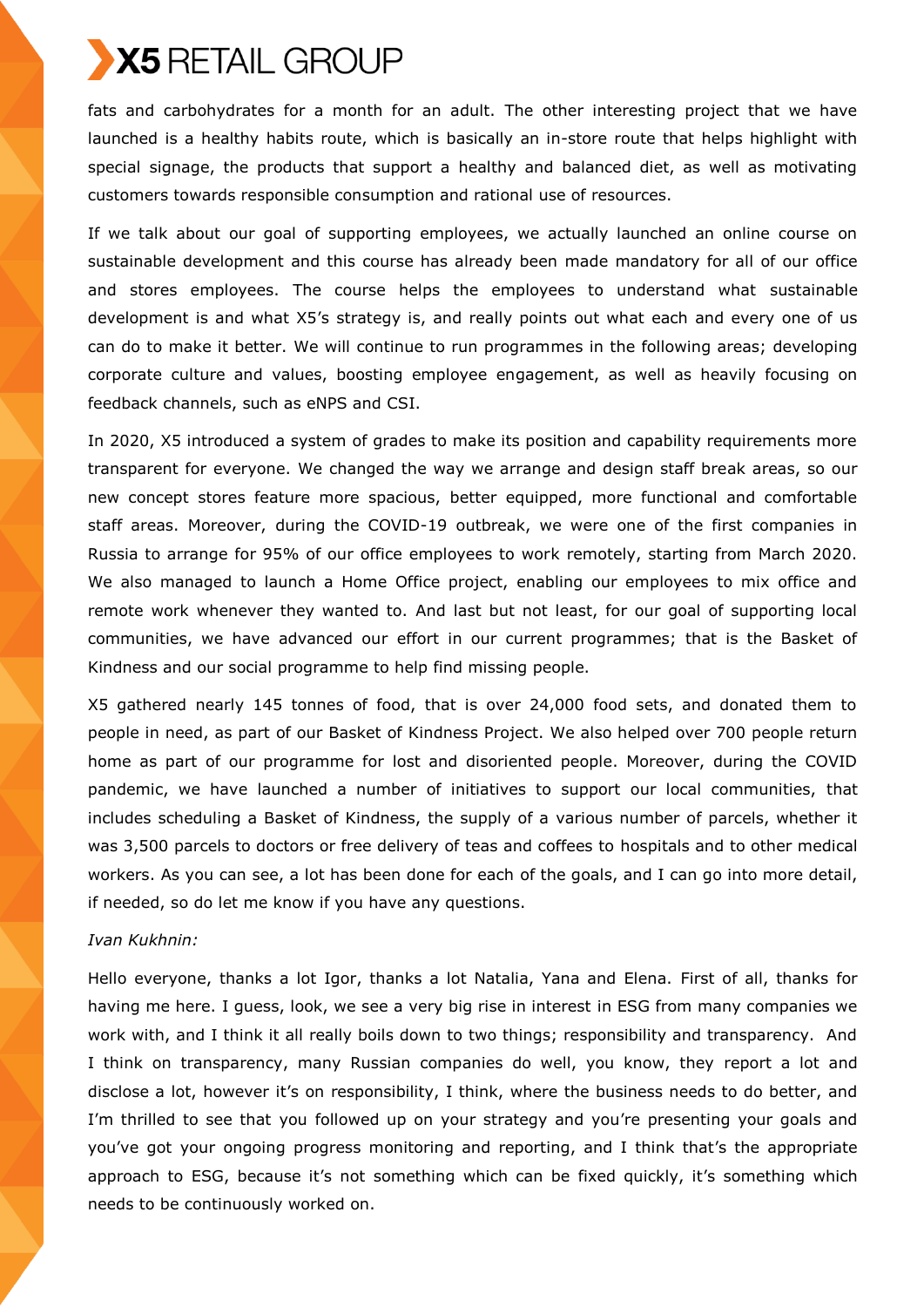

fats and carbohydrates for a month for an adult. The other interesting project that we have launched is a healthy habits route, which is basically an in-store route that helps highlight with special signage, the products that support a healthy and balanced diet, as well as motivating customers towards responsible consumption and rational use of resources.

If we talk about our goal of supporting employees, we actually launched an online course on sustainable development and this course has already been made mandatory for all of our office and stores employees. The course helps the employees to understand what sustainable development is and what X5's strategy is, and really points out what each and every one of us can do to make it better. We will continue to run programmes in the following areas; developing corporate culture and values, boosting employee engagement, as well as heavily focusing on feedback channels, such as eNPS and CSI.

In 2020, X5 introduced a system of grades to make its position and capability requirements more transparent for everyone. We changed the way we arrange and design staff break areas, so our new concept stores feature more spacious, better equipped, more functional and comfortable staff areas. Moreover, during the COVID-19 outbreak, we were one of the first companies in Russia to arrange for 95% of our office employees to work remotely, starting from March 2020. We also managed to launch a Home Office project, enabling our employees to mix office and remote work whenever they wanted to. And last but not least, for our goal of supporting local communities, we have advanced our effort in our current programmes; that is the Basket of Kindness and our social programme to help find missing people.

X5 gathered nearly 145 tonnes of food, that is over 24,000 food sets, and donated them to people in need, as part of our Basket of Kindness Project. We also helped over 700 people return home as part of our programme for lost and disoriented people. Moreover, during the COVID pandemic, we have launched a number of initiatives to support our local communities, that includes scheduling a Basket of Kindness, the supply of a various number of parcels, whether it was 3,500 parcels to doctors or free delivery of teas and coffees to hospitals and to other medical workers. As you can see, a lot has been done for each of the goals, and I can go into more detail, if needed, so do let me know if you have any questions.

#### *Ivan Kukhnin:*

Hello everyone, thanks a lot Igor, thanks a lot Natalia, Yana and Elena. First of all, thanks for having me here. I guess, look, we see a very big rise in interest in ESG from many companies we work with, and I think it all really boils down to two things; responsibility and transparency. And I think on transparency, many Russian companies do well, you know, they report a lot and disclose a lot, however it's on responsibility, I think, where the business needs to do better, and I'm thrilled to see that you followed up on your strategy and you're presenting your goals and you've got your ongoing progress monitoring and reporting, and I think that's the appropriate approach to ESG, because it's not something which can be fixed quickly, it's something which needs to be continuously worked on.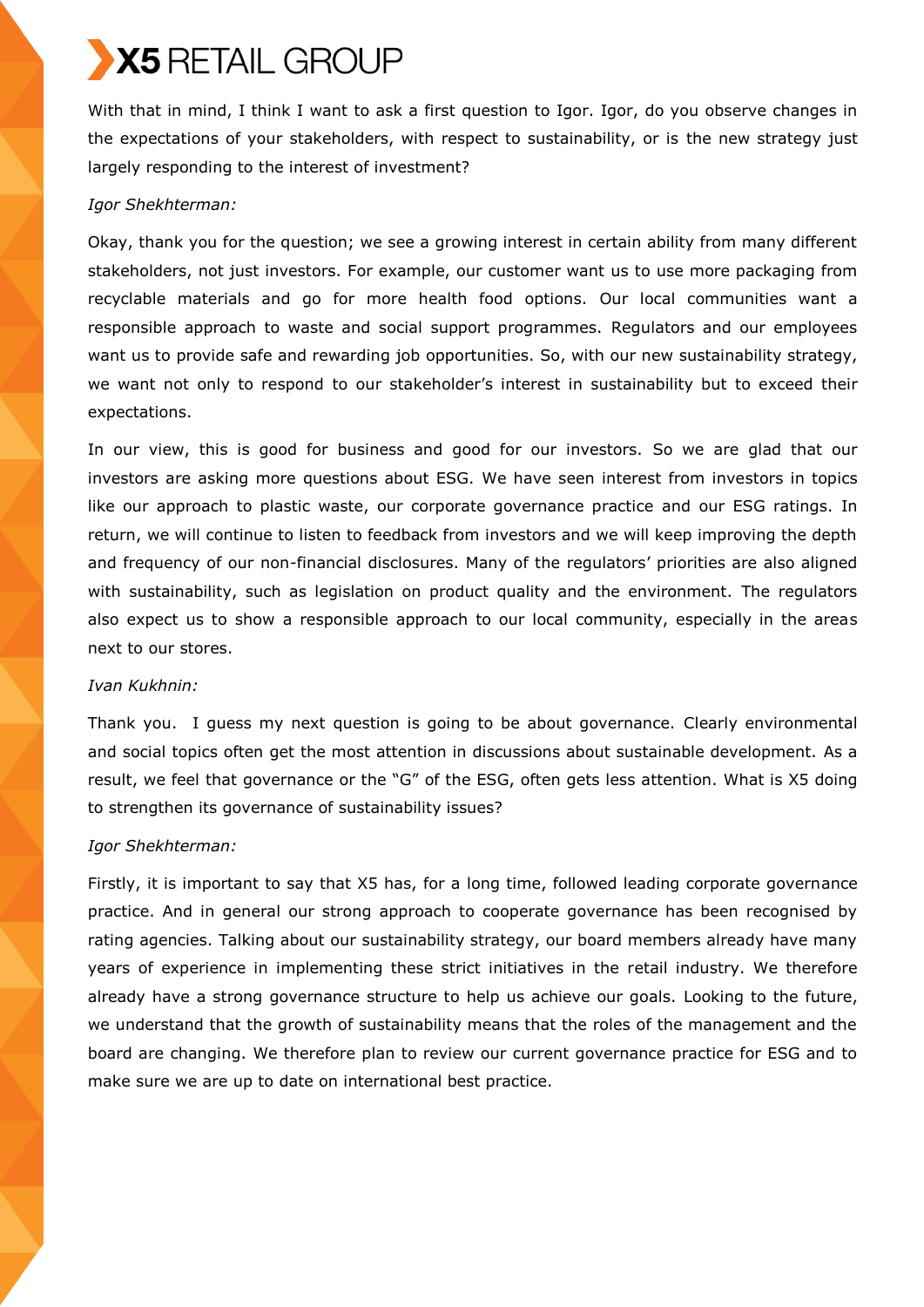With that in mind, I think I want to ask a first question to Igor. Igor, do you observe changes in the expectations of your stakeholders, with respect to sustainability, or is the new strategy just largely responding to the interest of investment?

## *Igor Shekhterman:*

Okay, thank you for the question; we see a growing interest in certain ability from many different stakeholders, not just investors. For example, our customer want us to use more packaging from recyclable materials and go for more health food options. Our local communities want a responsible approach to waste and social support programmes. Regulators and our employees want us to provide safe and rewarding job opportunities. So, with our new sustainability strategy, we want not only to respond to our stakeholder's interest in sustainability but to exceed their expectations.

In our view, this is good for business and good for our investors. So we are glad that our investors are asking more questions about ESG. We have seen interest from investors in topics like our approach to plastic waste, our corporate governance practice and our ESG ratings. In return, we will continue to listen to feedback from investors and we will keep improving the depth and frequency of our non-financial disclosures. Many of the regulators' priorities are also aligned with sustainability, such as legislation on product quality and the environment. The regulators also expect us to show a responsible approach to our local community, especially in the areas next to our stores.

## *Ivan Kukhnin:*

Thank you. I guess my next question is going to be about governance. Clearly environmental and social topics often get the most attention in discussions about sustainable development. As a result, we feel that governance or the "G" of the ESG, often gets less attention. What is X5 doing to strengthen its governance of sustainability issues?

## *Igor Shekhterman:*

Firstly, it is important to say that X5 has, for a long time, followed leading corporate governance practice. And in general our strong approach to cooperate governance has been recognised by rating agencies. Talking about our sustainability strategy, our board members already have many years of experience in implementing these strict initiatives in the retail industry. We therefore already have a strong governance structure to help us achieve our goals. Looking to the future, we understand that the growth of sustainability means that the roles of the management and the board are changing. We therefore plan to review our current governance practice for ESG and to make sure we are up to date on international best practice.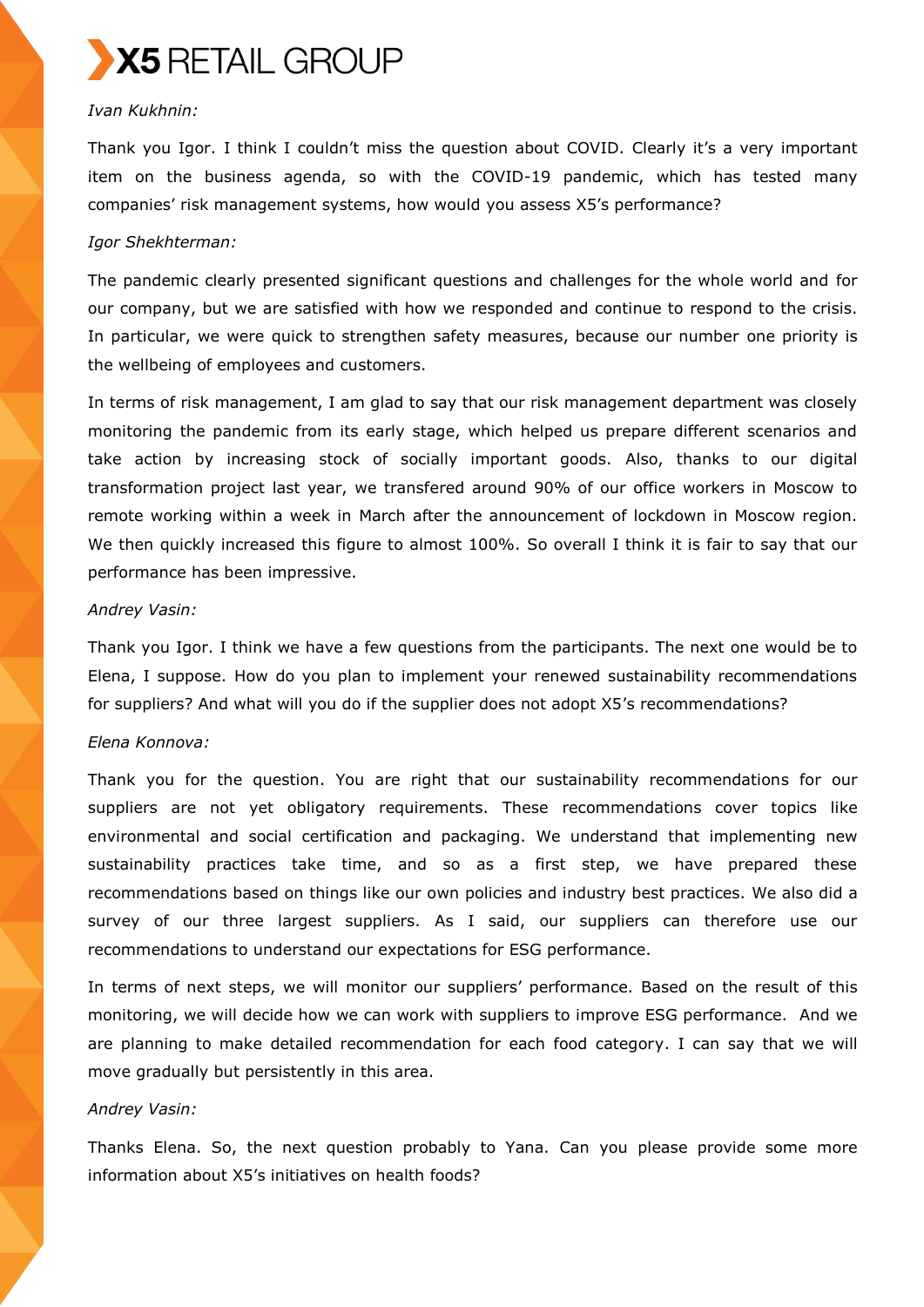

## *Ivan Kukhnin:*

Thank you Igor. I think I couldn't miss the question about COVID. Clearly it's a very important item on the business agenda, so with the COVID-19 pandemic, which has tested many companies' risk management systems, how would you assess X5's performance?

#### *Igor Shekhterman:*

The pandemic clearly presented significant questions and challenges for the whole world and for our company, but we are satisfied with how we responded and continue to respond to the crisis. In particular, we were quick to strengthen safety measures, because our number one priority is the wellbeing of employees and customers.

In terms of risk management, I am glad to say that our risk management department was closely monitoring the pandemic from its early stage, which helped us prepare different scenarios and take action by increasing stock of socially important goods. Also, thanks to our digital transformation project last year, we transfered around 90% of our office workers in Moscow to remote working within a week in March after the announcement of lockdown in Moscow region. We then quickly increased this figure to almost 100%. So overall I think it is fair to say that our performance has been impressive.

#### *Andrey Vasin:*

Thank you Igor. I think we have a few questions from the participants. The next one would be to Elena, I suppose. How do you plan to implement your renewed sustainability recommendations for suppliers? And what will you do if the supplier does not adopt X5's recommendations?

#### *Elena Konnova:*

Thank you for the question. You are right that our sustainability recommendations for our suppliers are not yet obligatory requirements. These recommendations cover topics like environmental and social certification and packaging. We understand that implementing new sustainability practices take time, and so as a first step, we have prepared these recommendations based on things like our own policies and industry best practices. We also did a survey of our three largest suppliers. As I said, our suppliers can therefore use our recommendations to understand our expectations for ESG performance.

In terms of next steps, we will monitor our suppliers' performance. Based on the result of this monitoring, we will decide how we can work with suppliers to improve ESG performance. And we are planning to make detailed recommendation for each food category. I can say that we will move gradually but persistently in this area.

#### *Andrey Vasin:*

Thanks Elena. So, the next question probably to Yana. Can you please provide some more information about X5's initiatives on health foods?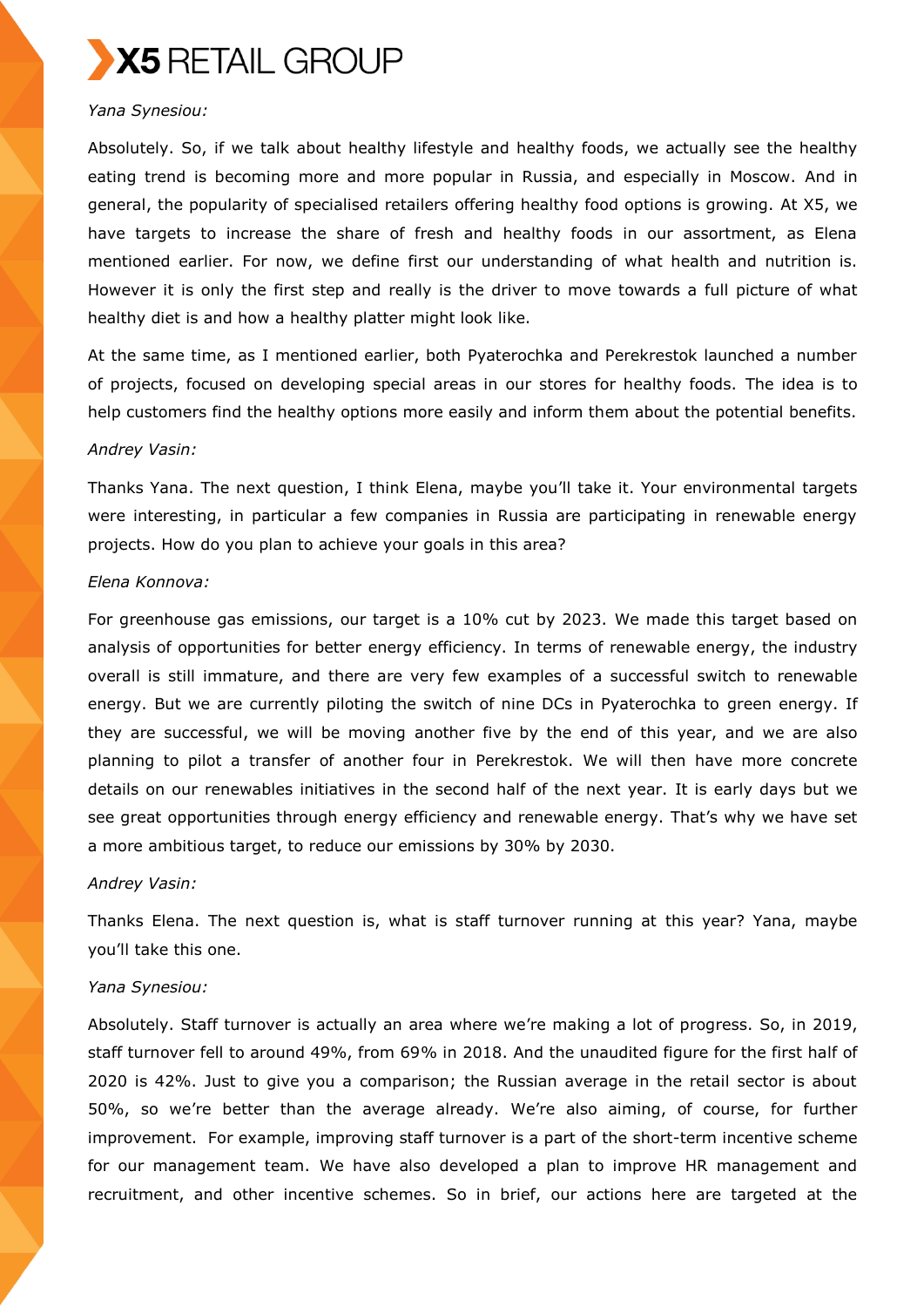

## *Yana Synesiou:*

Absolutely. So, if we talk about healthy lifestyle and healthy foods, we actually see the healthy eating trend is becoming more and more popular in Russia, and especially in Moscow. And in general, the popularity of specialised retailers offering healthy food options is growing. At X5, we have targets to increase the share of fresh and healthy foods in our assortment, as Elena mentioned earlier. For now, we define first our understanding of what health and nutrition is. However it is only the first step and really is the driver to move towards a full picture of what healthy diet is and how a healthy platter might look like.

At the same time, as I mentioned earlier, both Pyaterochka and Perekrestok launched a number of projects, focused on developing special areas in our stores for healthy foods. The idea is to help customers find the healthy options more easily and inform them about the potential benefits.

#### *Andrey Vasin:*

Thanks Yana. The next question, I think Elena, maybe you'll take it. Your environmental targets were interesting, in particular a few companies in Russia are participating in renewable energy projects. How do you plan to achieve your goals in this area?

#### *Elena Konnova:*

For greenhouse gas emissions, our target is a 10% cut by 2023. We made this target based on analysis of opportunities for better energy efficiency. In terms of renewable energy, the industry overall is still immature, and there are very few examples of a successful switch to renewable energy. But we are currently piloting the switch of nine DCs in Pyaterochka to green energy. If they are successful, we will be moving another five by the end of this year, and we are also planning to pilot a transfer of another four in Perekrestok. We will then have more concrete details on our renewables initiatives in the second half of the next year. It is early days but we see great opportunities through energy efficiency and renewable energy. That's why we have set a more ambitious target, to reduce our emissions by 30% by 2030.

#### *Andrey Vasin:*

Thanks Elena. The next question is, what is staff turnover running at this year? Yana, maybe you'll take this one.

#### *Yana Synesiou:*

Absolutely. Staff turnover is actually an area where we're making a lot of progress. So, in 2019, staff turnover fell to around 49%, from 69% in 2018. And the unaudited figure for the first half of 2020 is 42%. Just to give you a comparison; the Russian average in the retail sector is about 50%, so we're better than the average already. We're also aiming, of course, for further improvement. For example, improving staff turnover is a part of the short-term incentive scheme for our management team. We have also developed a plan to improve HR management and recruitment, and other incentive schemes. So in brief, our actions here are targeted at the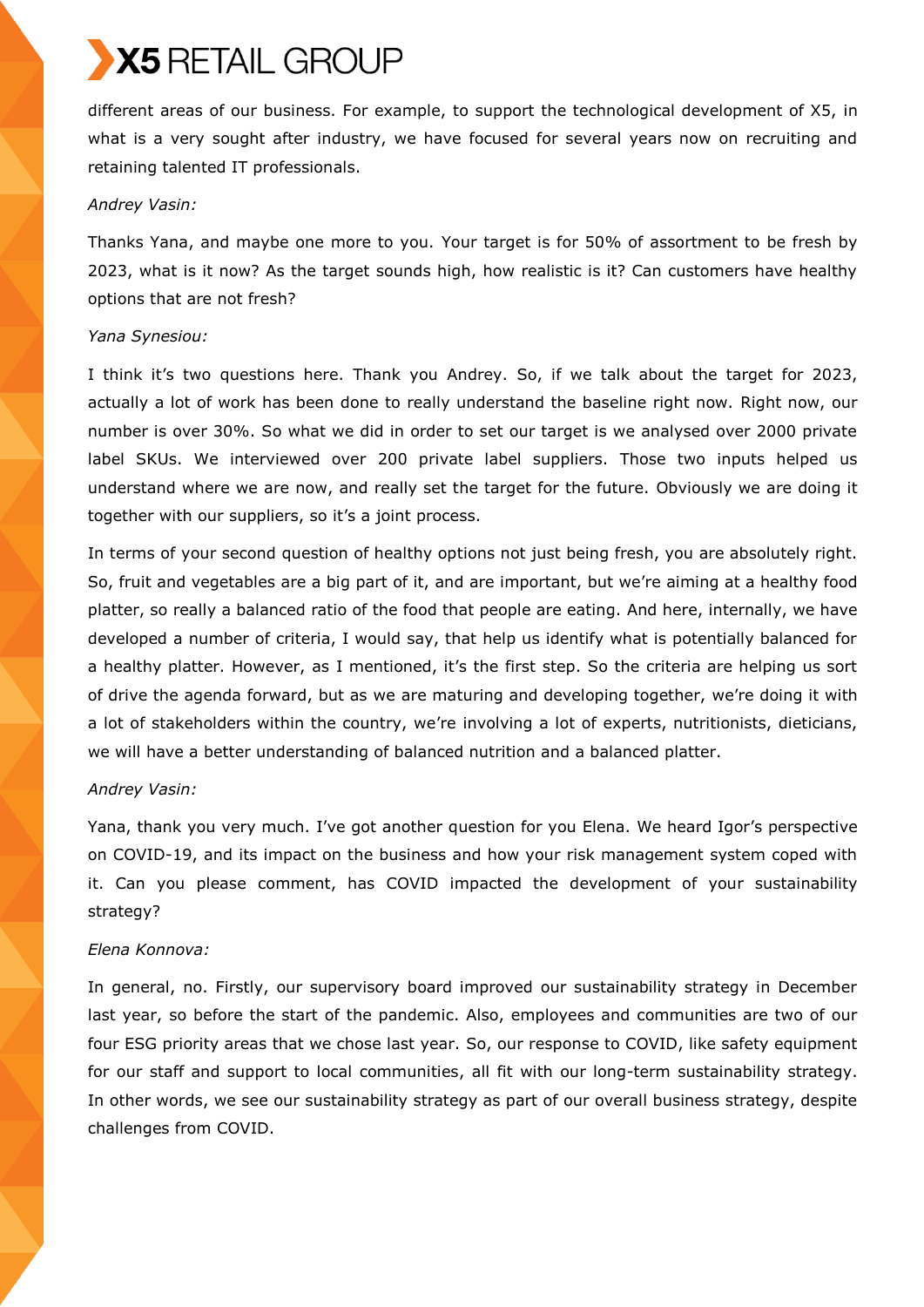different areas of our business. For example, to support the technological development of X5, in what is a very sought after industry, we have focused for several years now on recruiting and retaining talented IT professionals.

## *Andrey Vasin:*

Thanks Yana, and maybe one more to you. Your target is for 50% of assortment to be fresh by 2023, what is it now? As the target sounds high, how realistic is it? Can customers have healthy options that are not fresh?

## *Yana Synesiou:*

I think it's two questions here. Thank you Andrey. So, if we talk about the target for 2023, actually a lot of work has been done to really understand the baseline right now. Right now, our number is over 30%. So what we did in order to set our target is we analysed over 2000 private label SKUs. We interviewed over 200 private label suppliers. Those two inputs helped us understand where we are now, and really set the target for the future. Obviously we are doing it together with our suppliers, so it's a joint process.

In terms of your second question of healthy options not just being fresh, you are absolutely right. So, fruit and vegetables are a big part of it, and are important, but we're aiming at a healthy food platter, so really a balanced ratio of the food that people are eating. And here, internally, we have developed a number of criteria, I would say, that help us identify what is potentially balanced for a healthy platter. However, as I mentioned, it's the first step. So the criteria are helping us sort of drive the agenda forward, but as we are maturing and developing together, we're doing it with a lot of stakeholders within the country, we're involving a lot of experts, nutritionists, dieticians, we will have a better understanding of balanced nutrition and a balanced platter.

## *Andrey Vasin:*

Yana, thank you very much. I've got another question for you Elena. We heard Igor's perspective on COVID-19, and its impact on the business and how your risk management system coped with it. Can you please comment, has COVID impacted the development of your sustainability strategy?

## *Elena Konnova:*

In general, no. Firstly, our supervisory board improved our sustainability strategy in December last year, so before the start of the pandemic. Also, employees and communities are two of our four ESG priority areas that we chose last year. So, our response to COVID, like safety equipment for our staff and support to local communities, all fit with our long-term sustainability strategy. In other words, we see our sustainability strategy as part of our overall business strategy, despite challenges from COVID.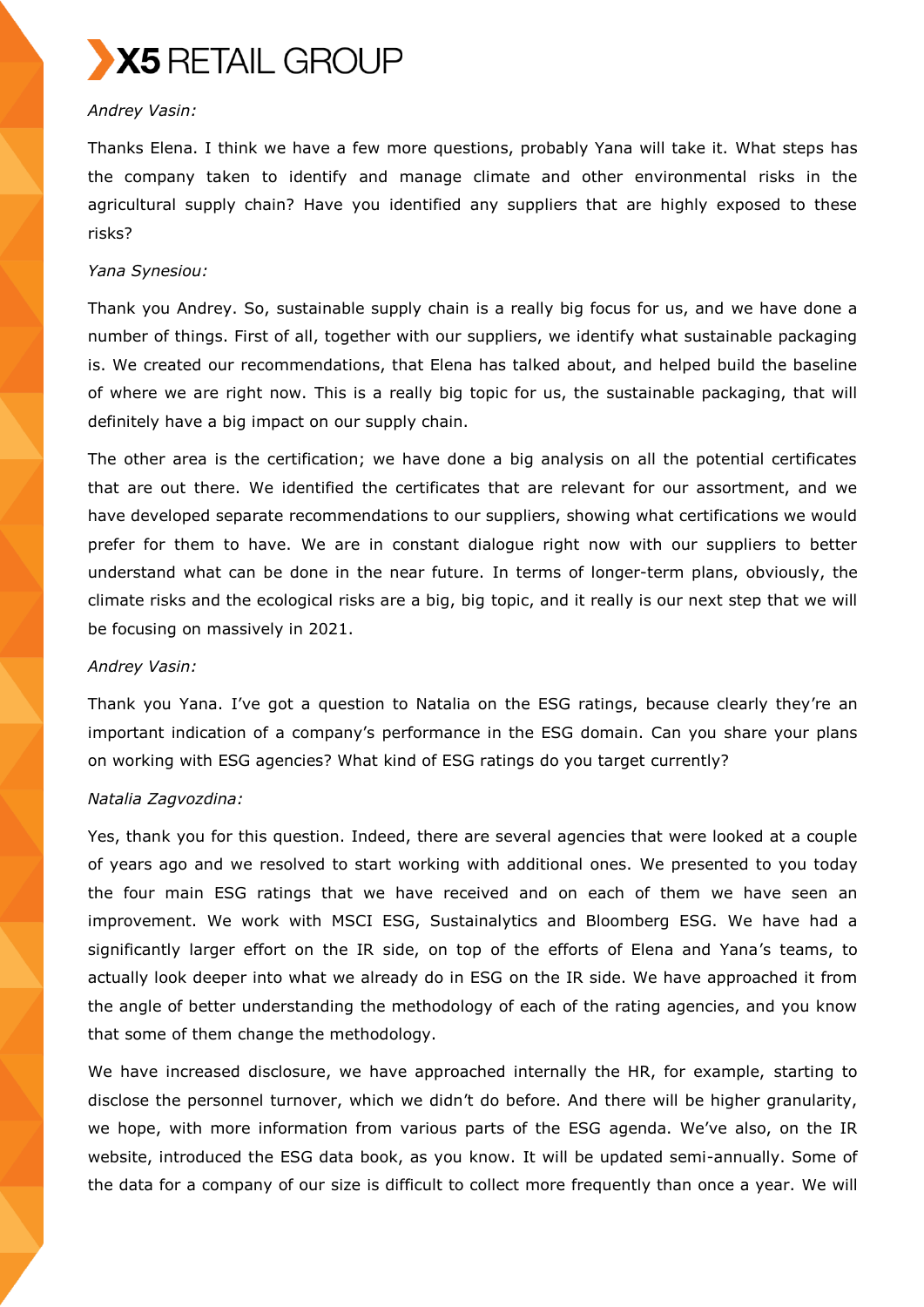

## *Andrey Vasin:*

Thanks Elena. I think we have a few more questions, probably Yana will take it. What steps has the company taken to identify and manage climate and other environmental risks in the agricultural supply chain? Have you identified any suppliers that are highly exposed to these risks?

#### *Yana Synesiou:*

Thank you Andrey. So, sustainable supply chain is a really big focus for us, and we have done a number of things. First of all, together with our suppliers, we identify what sustainable packaging is. We created our recommendations, that Elena has talked about, and helped build the baseline of where we are right now. This is a really big topic for us, the sustainable packaging, that will definitely have a big impact on our supply chain.

The other area is the certification; we have done a big analysis on all the potential certificates that are out there. We identified the certificates that are relevant for our assortment, and we have developed separate recommendations to our suppliers, showing what certifications we would prefer for them to have. We are in constant dialogue right now with our suppliers to better understand what can be done in the near future. In terms of longer-term plans, obviously, the climate risks and the ecological risks are a big, big topic, and it really is our next step that we will be focusing on massively in 2021.

#### *Andrey Vasin:*

Thank you Yana. I've got a question to Natalia on the ESG ratings, because clearly they're an important indication of a company's performance in the ESG domain. Can you share your plans on working with ESG agencies? What kind of ESG ratings do you target currently?

#### *Natalia Zagvozdina:*

Yes, thank you for this question. Indeed, there are several agencies that were looked at a couple of years ago and we resolved to start working with additional ones. We presented to you today the four main ESG ratings that we have received and on each of them we have seen an improvement. We work with MSCI ESG, Sustainalytics and Bloomberg ESG. We have had a significantly larger effort on the IR side, on top of the efforts of Elena and Yana's teams, to actually look deeper into what we already do in ESG on the IR side. We have approached it from the angle of better understanding the methodology of each of the rating agencies, and you know that some of them change the methodology.

We have increased disclosure, we have approached internally the HR, for example, starting to disclose the personnel turnover, which we didn't do before. And there will be higher granularity, we hope, with more information from various parts of the ESG agenda. We've also, on the IR website, introduced the ESG data book, as you know. It will be updated semi-annually. Some of the data for a company of our size is difficult to collect more frequently than once a year. We will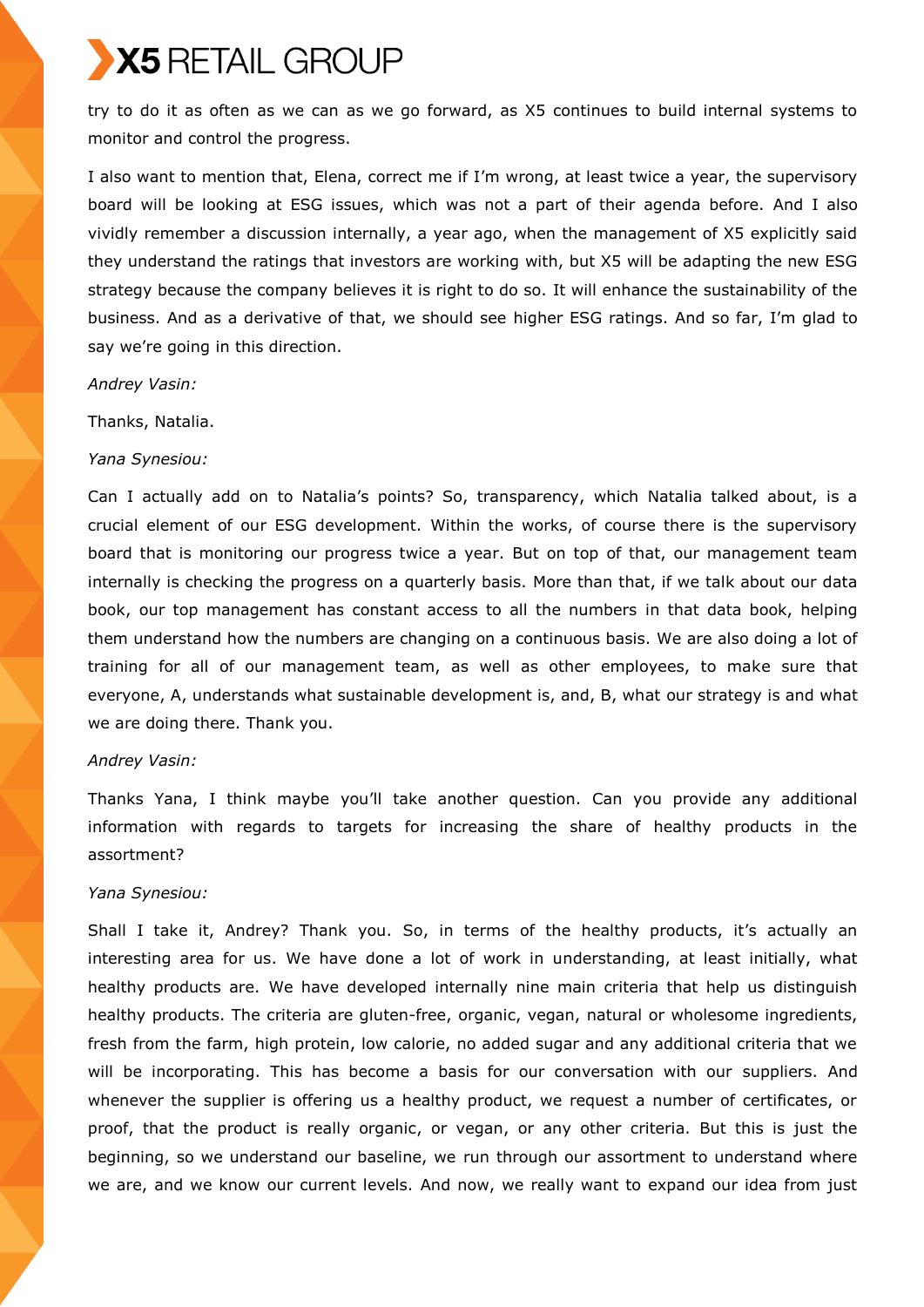try to do it as often as we can as we go forward, as X5 continues to build internal systems to monitor and control the progress.

I also want to mention that, Elena, correct me if I'm wrong, at least twice a year, the supervisory board will be looking at ESG issues, which was not a part of their agenda before. And I also vividly remember a discussion internally, a year ago, when the management of X5 explicitly said they understand the ratings that investors are working with, but X5 will be adapting the new ESG strategy because the company believes it is right to do so. It will enhance the sustainability of the business. And as a derivative of that, we should see higher ESG ratings. And so far, I'm glad to say we're going in this direction.

#### *Andrey Vasin:*

Thanks, Natalia.

#### *Yana Synesiou:*

Can I actually add on to Natalia's points? So, transparency, which Natalia talked about, is a crucial element of our ESG development. Within the works, of course there is the supervisory board that is monitoring our progress twice a year. But on top of that, our management team internally is checking the progress on a quarterly basis. More than that, if we talk about our data book, our top management has constant access to all the numbers in that data book, helping them understand how the numbers are changing on a continuous basis. We are also doing a lot of training for all of our management team, as well as other employees, to make sure that everyone, A, understands what sustainable development is, and, B, what our strategy is and what we are doing there. Thank you.

#### *Andrey Vasin:*

Thanks Yana, I think maybe you'll take another question. Can you provide any additional information with regards to targets for increasing the share of healthy products in the assortment?

#### *Yana Synesiou:*

Shall I take it, Andrey? Thank you. So, in terms of the healthy products, it's actually an interesting area for us. We have done a lot of work in understanding, at least initially, what healthy products are. We have developed internally nine main criteria that help us distinguish healthy products. The criteria are gluten-free, organic, vegan, natural or wholesome ingredients, fresh from the farm, high protein, low calorie, no added sugar and any additional criteria that we will be incorporating. This has become a basis for our conversation with our suppliers. And whenever the supplier is offering us a healthy product, we request a number of certificates, or proof, that the product is really organic, or vegan, or any other criteria. But this is just the beginning, so we understand our baseline, we run through our assortment to understand where we are, and we know our current levels. And now, we really want to expand our idea from just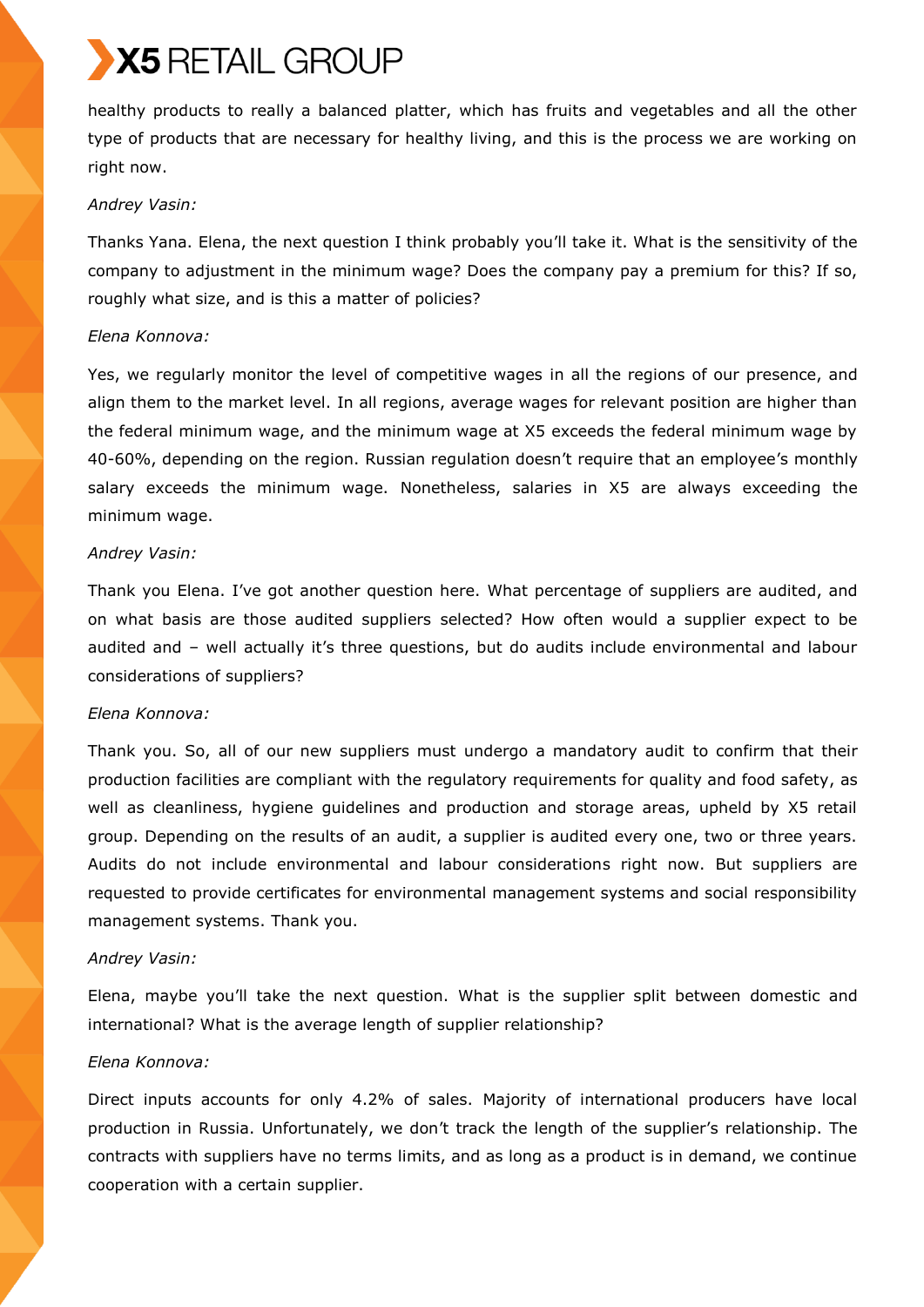healthy products to really a balanced platter, which has fruits and vegetables and all the other type of products that are necessary for healthy living, and this is the process we are working on right now.

## *Andrey Vasin:*

Thanks Yana. Elena, the next question I think probably you'll take it. What is the sensitivity of the company to adjustment in the minimum wage? Does the company pay a premium for this? If so, roughly what size, and is this a matter of policies?

## *Elena Konnova:*

Yes, we regularly monitor the level of competitive wages in all the regions of our presence, and align them to the market level. In all regions, average wages for relevant position are higher than the federal minimum wage, and the minimum wage at X5 exceeds the federal minimum wage by 40-60%, depending on the region. Russian regulation doesn't require that an employee's monthly salary exceeds the minimum wage. Nonetheless, salaries in X5 are always exceeding the minimum wage.

## *Andrey Vasin:*

Thank you Elena. I've got another question here. What percentage of suppliers are audited, and on what basis are those audited suppliers selected? How often would a supplier expect to be audited and – well actually it's three questions, but do audits include environmental and labour considerations of suppliers?

## *Elena Konnova:*

Thank you. So, all of our new suppliers must undergo a mandatory audit to confirm that their production facilities are compliant with the regulatory requirements for quality and food safety, as well as cleanliness, hygiene guidelines and production and storage areas, upheld by X5 retail group. Depending on the results of an audit, a supplier is audited every one, two or three years. Audits do not include environmental and labour considerations right now. But suppliers are requested to provide certificates for environmental management systems and social responsibility management systems. Thank you.

## *Andrey Vasin:*

Elena, maybe you'll take the next question. What is the supplier split between domestic and international? What is the average length of supplier relationship?

## *Elena Konnova:*

Direct inputs accounts for only 4.2% of sales. Majority of international producers have local production in Russia. Unfortunately, we don't track the length of the supplier's relationship. The contracts with suppliers have no terms limits, and as long as a product is in demand, we continue cooperation with a certain supplier.